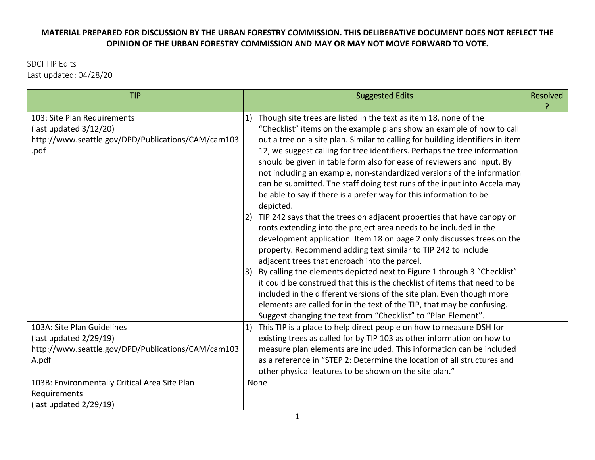## **MATERIAL PREPARED FOR DISCUSSION BY THE URBAN FORESTRY COMMISSION. THIS DELIBERATIVE DOCUMENT DOES NOT REFLECT THE OPINION OF THE URBAN FORESTRY COMMISSION AND MAY OR MAY NOT MOVE FORWARD TO VOTE.**

SDCI TIP Edits Last updated: 04/28/20

| <b>TIP</b>                                                                                                                                                              |          | <b>Suggested Edits</b>                                                                                                                                                                                                                                                                                                                                                                                                                                                                                                                                                                                                                                                                                                                                                                                                                                                                                                                                                                                                                                                                                                                                                                                                                                                                                                                             | <b>Resolved</b> |
|-------------------------------------------------------------------------------------------------------------------------------------------------------------------------|----------|----------------------------------------------------------------------------------------------------------------------------------------------------------------------------------------------------------------------------------------------------------------------------------------------------------------------------------------------------------------------------------------------------------------------------------------------------------------------------------------------------------------------------------------------------------------------------------------------------------------------------------------------------------------------------------------------------------------------------------------------------------------------------------------------------------------------------------------------------------------------------------------------------------------------------------------------------------------------------------------------------------------------------------------------------------------------------------------------------------------------------------------------------------------------------------------------------------------------------------------------------------------------------------------------------------------------------------------------------|-----------------|
| 103: Site Plan Requirements<br>(last updated $3/12/20$ )<br>http://www.seattle.gov/DPD/Publications/CAM/cam103<br>.pdf                                                  | 1)<br>3) | Though site trees are listed in the text as item 18, none of the<br>"Checklist" items on the example plans show an example of how to call<br>out a tree on a site plan. Similar to calling for building identifiers in item<br>12, we suggest calling for tree identifiers. Perhaps the tree information<br>should be given in table form also for ease of reviewers and input. By<br>not including an example, non-standardized versions of the information<br>can be submitted. The staff doing test runs of the input into Accela may<br>be able to say if there is a prefer way for this information to be<br>depicted.<br>TIP 242 says that the trees on adjacent properties that have canopy or<br>roots extending into the project area needs to be included in the<br>development application. Item 18 on page 2 only discusses trees on the<br>property. Recommend adding text similar to TIP 242 to include<br>adjacent trees that encroach into the parcel.<br>By calling the elements depicted next to Figure 1 through 3 "Checklist"<br>it could be construed that this is the checklist of items that need to be<br>included in the different versions of the site plan. Even though more<br>elements are called for in the text of the TIP, that may be confusing.<br>Suggest changing the text from "Checklist" to "Plan Element". |                 |
| 103A: Site Plan Guidelines<br>(last updated $2/29/19$ )<br>http://www.seattle.gov/DPD/Publications/CAM/cam103<br>A.pdf<br>103B: Environmentally Critical Area Site Plan |          | This TIP is a place to help direct people on how to measure DSH for<br>existing trees as called for by TIP 103 as other information on how to<br>measure plan elements are included. This information can be included<br>as a reference in "STEP 2: Determine the location of all structures and<br>other physical features to be shown on the site plan."<br>None                                                                                                                                                                                                                                                                                                                                                                                                                                                                                                                                                                                                                                                                                                                                                                                                                                                                                                                                                                                 |                 |
| Requirements<br>(last updated $2/29/19$ )                                                                                                                               |          |                                                                                                                                                                                                                                                                                                                                                                                                                                                                                                                                                                                                                                                                                                                                                                                                                                                                                                                                                                                                                                                                                                                                                                                                                                                                                                                                                    |                 |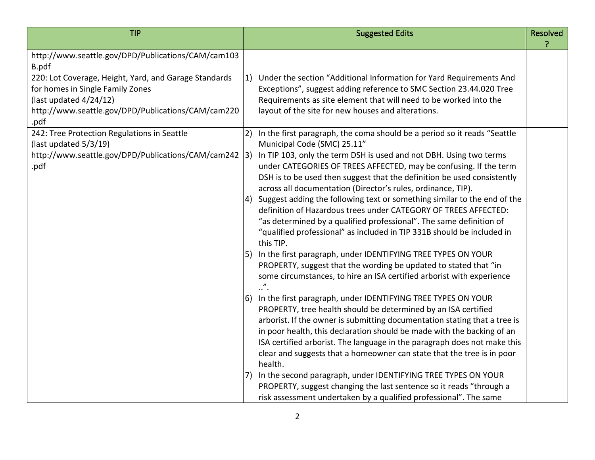| <b>TIP</b>                                                                                                                                                                           |    | <b>Suggested Edits</b>                                                                                                                                                                                                                                                                                                                                                                                                                                                    | <b>Resolved</b> |
|--------------------------------------------------------------------------------------------------------------------------------------------------------------------------------------|----|---------------------------------------------------------------------------------------------------------------------------------------------------------------------------------------------------------------------------------------------------------------------------------------------------------------------------------------------------------------------------------------------------------------------------------------------------------------------------|-----------------|
| http://www.seattle.gov/DPD/Publications/CAM/cam103<br>B.pdf                                                                                                                          |    |                                                                                                                                                                                                                                                                                                                                                                                                                                                                           |                 |
| 220: Lot Coverage, Height, Yard, and Garage Standards<br>for homes in Single Family Zones<br>(last updated $4/24/12$ )<br>http://www.seattle.gov/DPD/Publications/CAM/cam220<br>.pdf | 1) | Under the section "Additional Information for Yard Requirements And<br>Exceptions", suggest adding reference to SMC Section 23.44.020 Tree<br>Requirements as site element that will need to be worked into the<br>layout of the site for new houses and alterations.                                                                                                                                                                                                     |                 |
| 242: Tree Protection Regulations in Seattle<br>(last updated 5/3/19)<br>http://www.seattle.gov/DPD/Publications/CAM/cam242  3)<br>.pdf                                               | 2) | In the first paragraph, the coma should be a period so it reads "Seattle<br>Municipal Code (SMC) 25.11"<br>In TIP 103, only the term DSH is used and not DBH. Using two terms<br>under CATEGORIES OF TREES AFFECTED, may be confusing. If the term<br>DSH is to be used then suggest that the definition be used consistently<br>across all documentation (Director's rules, ordinance, TIP).<br>Suggest adding the following text or something similar to the end of the |                 |
|                                                                                                                                                                                      | 5) | definition of Hazardous trees under CATEGORY OF TREES AFFECTED:<br>"as determined by a qualified professional". The same definition of<br>"qualified professional" as included in TIP 331B should be included in<br>this TIP.<br>In the first paragraph, under IDENTIFYING TREE TYPES ON YOUR                                                                                                                                                                             |                 |
|                                                                                                                                                                                      |    | PROPERTY, suggest that the wording be updated to stated that "in<br>some circumstances, to hire an ISA certified arborist with experience<br>$\cdot$ ".                                                                                                                                                                                                                                                                                                                   |                 |
|                                                                                                                                                                                      | 6) | In the first paragraph, under IDENTIFYING TREE TYPES ON YOUR<br>PROPERTY, tree health should be determined by an ISA certified<br>arborist. If the owner is submitting documentation stating that a tree is<br>in poor health, this declaration should be made with the backing of an<br>ISA certified arborist. The language in the paragraph does not make this<br>clear and suggests that a homeowner can state that the tree is in poor<br>health.                    |                 |
|                                                                                                                                                                                      |    | In the second paragraph, under IDENTIFYING TREE TYPES ON YOUR<br>PROPERTY, suggest changing the last sentence so it reads "through a<br>risk assessment undertaken by a qualified professional". The same                                                                                                                                                                                                                                                                 |                 |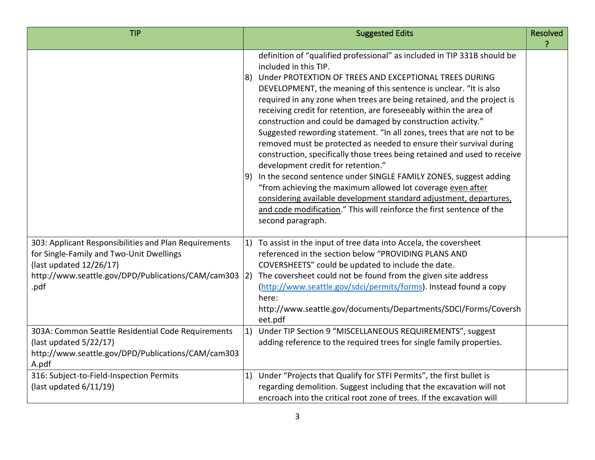| <b>TIP</b>                                                                                                                                                                                       | <b>Suggested Edits</b>                                                                                                                                                                                                                                                                                                                                                                                                                                                                                                                                                                                                                                                                                                                                                                                                                                                                                                                                                                                                                  | <b>Resolved</b> |
|--------------------------------------------------------------------------------------------------------------------------------------------------------------------------------------------------|-----------------------------------------------------------------------------------------------------------------------------------------------------------------------------------------------------------------------------------------------------------------------------------------------------------------------------------------------------------------------------------------------------------------------------------------------------------------------------------------------------------------------------------------------------------------------------------------------------------------------------------------------------------------------------------------------------------------------------------------------------------------------------------------------------------------------------------------------------------------------------------------------------------------------------------------------------------------------------------------------------------------------------------------|-----------------|
|                                                                                                                                                                                                  | definition of "qualified professional" as included in TIP 331B should be<br>included in this TIP.<br>Under PROTEXTION OF TREES AND EXCEPTIONAL TREES DURING<br>8)<br>DEVELOPMENT, the meaning of this sentence is unclear. "It is also<br>required in any zone when trees are being retained, and the project is<br>receiving credit for retention, are foreseeably within the area of<br>construction and could be damaged by construction activity."<br>Suggested rewording statement. "In all zones, trees that are not to be<br>removed must be protected as needed to ensure their survival during<br>construction, specifically those trees being retained and used to receive<br>development credit for retention."<br>In the second sentence under SINGLE FAMILY ZONES, suggest adding<br>9)<br>"from achieving the maximum allowed lot coverage even after<br>considering available development standard adjustment, departures,<br>and code modification." This will reinforce the first sentence of the<br>second paragraph. |                 |
| 303: Applicant Responsibilities and Plan Requirements<br>for Single-Family and Two-Unit Dwellings<br>(last updated $12/26/17$ )<br>http://www.seattle.gov/DPD/Publications/CAM/cam303 2)<br>.pdf | To assist in the input of tree data into Accela, the coversheet<br>1)<br>referenced in the section below "PROVIDING PLANS AND<br>COVERSHEETS" could be updated to include the date.<br>The coversheet could not be found from the given site address<br>(http://www.seattle.gov/sdci/permits/forms). Instead found a copy<br>here:<br>http://www.seattle.gov/documents/Departments/SDCI/Forms/Coversh<br>eet.pdf                                                                                                                                                                                                                                                                                                                                                                                                                                                                                                                                                                                                                        |                 |
| 303A: Common Seattle Residential Code Requirements<br>(last updated 5/22/17)<br>http://www.seattle.gov/DPD/Publications/CAM/cam303<br>A.pdf                                                      | Under TIP Section 9 "MISCELLANEOUS REQUIREMENTS", suggest<br>1)<br>adding reference to the required trees for single family properties.                                                                                                                                                                                                                                                                                                                                                                                                                                                                                                                                                                                                                                                                                                                                                                                                                                                                                                 |                 |
| 316: Subject-to-Field-Inspection Permits<br>(last updated $6/11/19$ )                                                                                                                            | 1) Under "Projects that Qualify for STFI Permits", the first bullet is<br>regarding demolition. Suggest including that the excavation will not<br>encroach into the critical root zone of trees. If the excavation will                                                                                                                                                                                                                                                                                                                                                                                                                                                                                                                                                                                                                                                                                                                                                                                                                 |                 |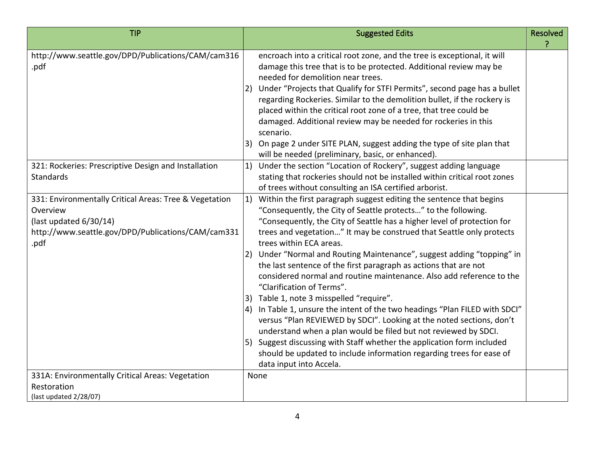| <b>TIP</b>                                                                                                                                                 | <b>Suggested Edits</b>                                                                                                                                                                                                                                                                                                                                                                                                                                                                                                                                                                                                                                                                                                                                                                                                                                                                                                                                                                                                             | <b>Resolved</b> |
|------------------------------------------------------------------------------------------------------------------------------------------------------------|------------------------------------------------------------------------------------------------------------------------------------------------------------------------------------------------------------------------------------------------------------------------------------------------------------------------------------------------------------------------------------------------------------------------------------------------------------------------------------------------------------------------------------------------------------------------------------------------------------------------------------------------------------------------------------------------------------------------------------------------------------------------------------------------------------------------------------------------------------------------------------------------------------------------------------------------------------------------------------------------------------------------------------|-----------------|
| http://www.seattle.gov/DPD/Publications/CAM/cam316<br>.pdf                                                                                                 | encroach into a critical root zone, and the tree is exceptional, it will<br>damage this tree that is to be protected. Additional review may be<br>needed for demolition near trees.<br>Under "Projects that Qualify for STFI Permits", second page has a bullet<br>regarding Rockeries. Similar to the demolition bullet, if the rockery is<br>placed within the critical root zone of a tree, that tree could be<br>damaged. Additional review may be needed for rockeries in this<br>scenario.<br>On page 2 under SITE PLAN, suggest adding the type of site plan that<br>3)<br>will be needed (preliminary, basic, or enhanced).                                                                                                                                                                                                                                                                                                                                                                                                |                 |
| 321: Rockeries: Prescriptive Design and Installation<br><b>Standards</b>                                                                                   | Under the section "Location of Rockery", suggest adding language<br>1)<br>stating that rockeries should not be installed within critical root zones<br>of trees without consulting an ISA certified arborist.                                                                                                                                                                                                                                                                                                                                                                                                                                                                                                                                                                                                                                                                                                                                                                                                                      |                 |
| 331: Environmentally Critical Areas: Tree & Vegetation<br>Overview<br>(last updated 6/30/14)<br>http://www.seattle.gov/DPD/Publications/CAM/cam331<br>.pdf | Within the first paragraph suggest editing the sentence that begins<br>1)<br>"Consequently, the City of Seattle protects" to the following.<br>"Consequently, the City of Seattle has a higher level of protection for<br>trees and vegetation" It may be construed that Seattle only protects<br>trees within ECA areas.<br>Under "Normal and Routing Maintenance", suggest adding "topping" in<br>2)<br>the last sentence of the first paragraph as actions that are not<br>considered normal and routine maintenance. Also add reference to the<br>"Clarification of Terms".<br>Table 1, note 3 misspelled "require".<br>In Table 1, unsure the intent of the two headings "Plan FILED with SDCI"<br>4)<br>versus "Plan REVIEWED by SDCI". Looking at the noted sections, don't<br>understand when a plan would be filed but not reviewed by SDCI.<br>5) Suggest discussing with Staff whether the application form included<br>should be updated to include information regarding trees for ease of<br>data input into Accela. |                 |
| 331A: Environmentally Critical Areas: Vegetation<br>Restoration<br>(last updated 2/28/07)                                                                  | None                                                                                                                                                                                                                                                                                                                                                                                                                                                                                                                                                                                                                                                                                                                                                                                                                                                                                                                                                                                                                               |                 |